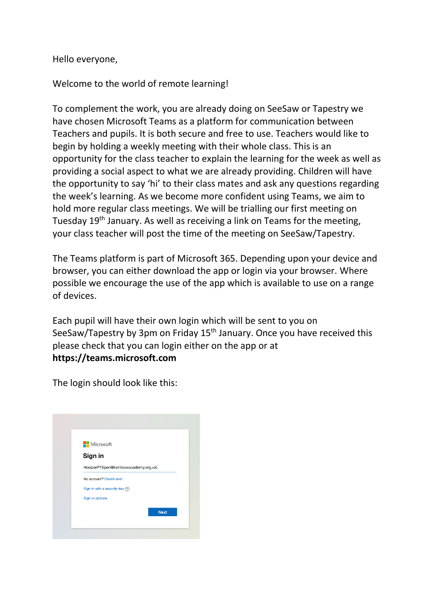Hello everyone,

Welcome to the world of remote learning!

To complement the work, you are already doing on SeeSaw or Tapestry we have chosen Microsoft Teams as a platform for communication between Teachers and pupils. It is both secure and free to use. Teachers would like to begin by holding a weekly meeting with their whole class. This is an opportunity for the class teacher to explain the learning for the week as well as providing a social aspect to what we are already providing. Children will have the opportunity to say 'hi' to their class mates and ask any questions regarding the week's learning. As we become more confident using Teams, we aim to hold more regular class meetings. We will be trialling our first meeting on Tuesday 19<sup>th</sup> January. As well as receiving a link on Teams for the meeting, your class teacher will post the time of the meeting on SeeSaw/Tapestry.

The Teams platform is part of Microsoft 365. Depending upon your device and browser, you can either download the app or login via your browser. Where possible we encourage the use of the app which is available to use on a range of devices.

Each pupil will have their own login which will be sent to you on SeeSaw/Tapestry by 3pm on Friday 15<sup>th</sup> January. Once you have received this please check that you can login either on the app or at **https://teams.microsoft.com**

The login should look like this: